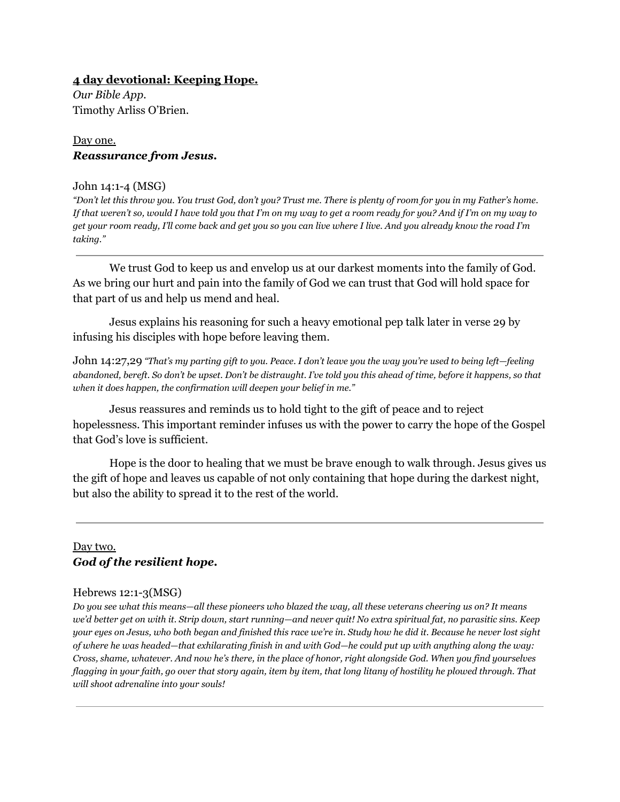## **4 day devotional: Keeping Hope.**

*Our Bible App.* Timothy Arliss O'Brien.

## Day one. *Reassurance from Jesus.*

#### John 14:1-4 (MSG)

*"Don't let this throw you. You trust God, don't you? Trust me. There is plenty of room for you in my Father's home. If that weren't so, would I have told you that I'm on my way to get a room ready for you? And if I'm on my way to get your room ready, I'll come back and get you so you can live where I live. And you already know the road I'm taking."*

We trust God to keep us and envelop us at our darkest moments into the family of God. As we bring our hurt and pain into the family of God we can trust that God will hold space for that part of us and help us mend and heal.

Jesus explains his reasoning for such a heavy emotional pep talk later in verse 29 by infusing his disciples with hope before leaving them.

John 14:27,29 *"That's my parting gift to you. Peace. I don't leave you the way you're used to being left—feeling abandoned, bereft. So don't be upset. Don't be distraught. I've told you this ahead of time, before it happens, so that when it does happen, the confirmation will deepen your belief in me."*

Jesus reassures and reminds us to hold tight to the gift of peace and to reject hopelessness. This important reminder infuses us with the power to carry the hope of the Gospel that God's love is sufficient.

Hope is the door to healing that we must be brave enough to walk through. Jesus gives us the gift of hope and leaves us capable of not only containing that hope during the darkest night, but also the ability to spread it to the rest of the world.

## Day two. *God of the resilient hope.*

#### Hebrews 12:1-3(MSG)

*Do you see what this means—all these pioneers who blazed the way, all these veterans cheering us on? It means we'd better get on with it. Strip down, start running—and never quit! No extra spiritual fat, no parasitic sins. Keep your eyes on Jesus, who both began and finished this race we're in. Study how he did it. Because he never lost sight of where he was headed—that exhilarating finish in and with God—he could put up with anything along the way: Cross, shame, whatever. And now he's there, in the place of honor, right alongside God. When you find yourselves flagging in your faith, go over that story again, item by item, that long litany of hostility he plowed through. That will shoot adrenaline into your souls!*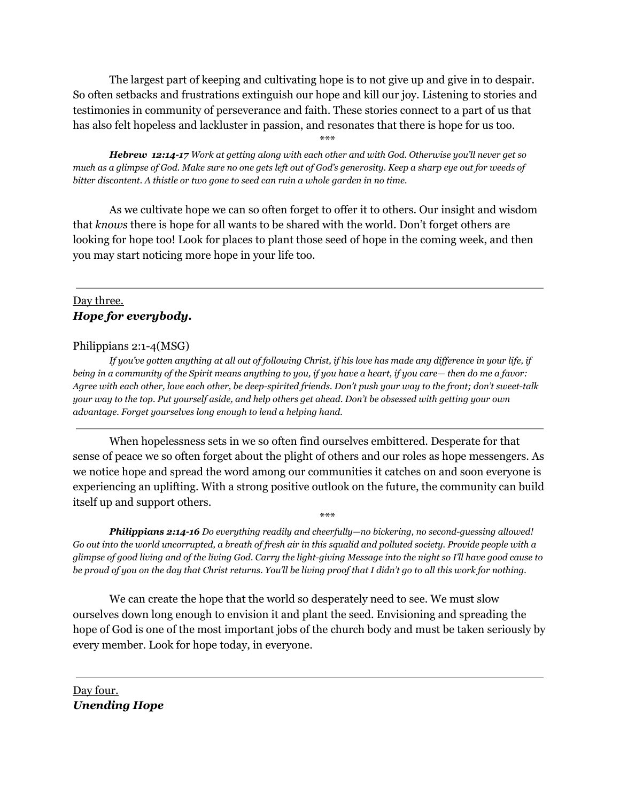The largest part of keeping and cultivating hope is to not give up and give in to despair. So often setbacks and frustrations extinguish our hope and kill our joy. Listening to stories and testimonies in community of perseverance and faith. These stories connect to a part of us that has also felt hopeless and lackluster in passion, and resonates that there is hope for us too.

\*\*\*

*Hebrew 12:14-17 Work at getting along with each other and with God. Otherwise you'll never get so much as a glimpse of God. Make sure no one gets left out of God's generosity. Keep a sharp eye out for weeds of bitter discontent. A thistle or two gone to seed can ruin a whole garden in no time.*

As we cultivate hope we can so often forget to offer it to others. Our insight and wisdom that *knows* there is hope for all wants to be shared with the world. Don't forget others are looking for hope too! Look for places to plant those seed of hope in the coming week, and then you may start noticing more hope in your life too.

# Day three. *Hope for everybody.*

## Philippians 2:1-4(MSG)

*If you've gotten anything at all out of following Christ, if his love has made any difference in your life, if being in a community of the Spirit means anything to you, if you have a heart, if you care— then do me a favor: Agree with each other, love each other, be deep-spirited friends. Don't push your way to the front; don't sweet-talk your way to the top. Put yourself aside, and help others get ahead. Don't be obsessed with getting your own advantage. Forget yourselves long enough to lend a helping hand.*

When hopelessness sets in we so often find ourselves embittered. Desperate for that sense of peace we so often forget about the plight of others and our roles as hope messengers. As we notice hope and spread the word among our communities it catches on and soon everyone is experiencing an uplifting. With a strong positive outlook on the future, the community can build itself up and support others.

\*\*\*

*Philippians 2:14-16 Do everything readily and cheerfully—no bickering, no second-guessing allowed! Go out into the world uncorrupted, a breath of fresh air in this squalid and polluted society. Provide people with a glimpse of good living and of the living God. Carry the light-giving Message into the night so I'll have good cause to be proud of you on the day that Christ returns. You'll be living proof that I didn't go to all this work for nothing.*

We can create the hope that the world so desperately need to see. We must slow ourselves down long enough to envision it and plant the seed. Envisioning and spreading the hope of God is one of the most important jobs of the church body and must be taken seriously by every member. Look for hope today, in everyone.

Day four. *Unending Hope*